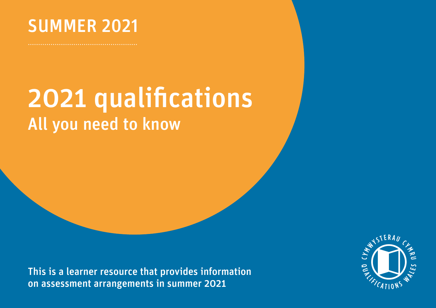

## 2021 qualifications All you need to know

This is a learner resource that provides information on assessment arrangements in summer 2021

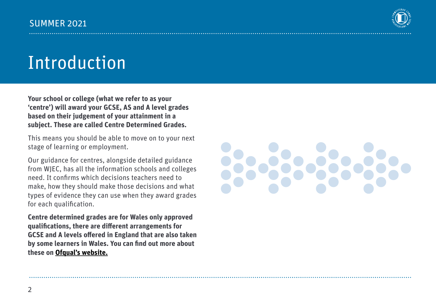

## Introduction

**Your school or college (what we refer to as your 'centre') will award your GCSE, AS and A level grades based on their judgement of your attainment in a subject. These are called Centre Determined Grades.**

This means you should be able to move on to your next stage of learning or employment.

Our guidance for centres, alongside detailed guidance from WJEC, has all the information schools and colleges need. It confirms which decisions teachers need to make, how they should make those decisions and what types of evidence they can use when they award grades for each qualification.

**Centre determined grades are for Wales only approved qualifications, there are different arrangements for GCSE and A levels offered in England that are also taken by some learners in Wales. You can find out more about these on [Ofqual's website.](https://www.gov.uk/government/organisations/ofqual)**

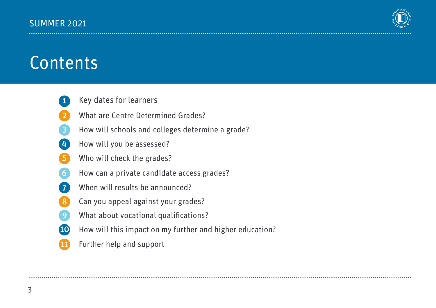

## Contents

1

- 
- 2 What are Centre Determined Grades?
- 3 How will schools and colleges determine a grade? Key dates for learners<br>What are Centre Determined Grades?<br>How will schools and colleges determi<br>Mow will you be assessed?<br>Who will check the grades?<br>Now can a private candidate access gr<br>When will results be announced?<br>Can
- $\left| 4 \right\rangle$
- 5
- 6 How will you be assessed?<br>Who will check the grades?<br>How can a private candidate access grades?<br>When will results be announced?<br>Can you appeal against your grades?
- 7
- 8
- $\mathbf{Q}$
- 10 How will this impact on my further and higher education? How can a private candidate access grades?<br>When will results be announced?<br>Can you appeal against your grades?<br>What about vocational qualifications?<br>How will this impact on my further and high<br>Further help and support
- 11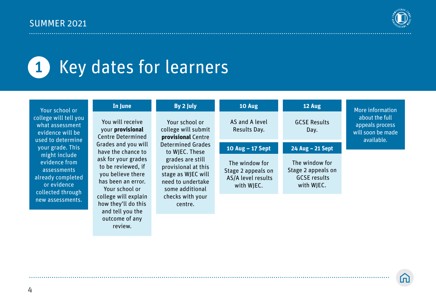

#### Key dates for learners 1

outcome of any review.

| Your school or                                                                                                             | In June                                                                                                | By 2 July                                                                                                                                           | 10 Aug                                                                   | 12 Aug                                                                    | More information                                                     |
|----------------------------------------------------------------------------------------------------------------------------|--------------------------------------------------------------------------------------------------------|-----------------------------------------------------------------------------------------------------------------------------------------------------|--------------------------------------------------------------------------|---------------------------------------------------------------------------|----------------------------------------------------------------------|
| college will tell you<br>what assessment<br>evidence will be<br>used to determine                                          | You will receive<br>your provisional<br><b>Centre Determined</b>                                       | Your school or<br>college will submit<br>provisional Centre                                                                                         | AS and A level<br>Results Day.                                           | <b>GCSE Results</b><br>Day.                                               | about the full<br>appeals process<br>will soon be made<br>available. |
| your grade. This<br>might include<br>evidence from<br>assessments<br>already completed<br>or evidence<br>collected through | Grades and you will<br>have the chance to                                                              | <b>Determined Grades</b><br>to WJEC. These<br>grades are still<br>provisional at this<br>stage as WJEC will<br>need to undertake<br>some additional | 10 Aug - 17 Sept                                                         | 24 Aug - 21 Sept                                                          |                                                                      |
|                                                                                                                            | ask for your grades<br>to be reviewed, if<br>you believe there<br>has been an error.<br>Your school or |                                                                                                                                                     | The window for<br>Stage 2 appeals on<br>AS/A level results<br>with WJEC. | The window for<br>Stage 2 appeals on<br><b>GCSE</b> results<br>with WJEC. |                                                                      |
| new assessments.                                                                                                           | college will explain<br>how they'll do this<br>and tell you the                                        | checks with your<br>centre.                                                                                                                         |                                                                          |                                                                           |                                                                      |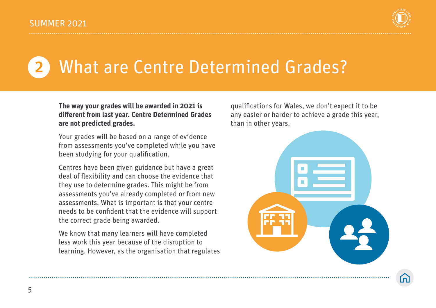

# What are Centre Determined Grades?

#### **The way your grades will be awarded in 2021 is different from last year. Centre Determined Grades are not predicted grades.**

Your grades will be based on a range of evidence from assessments you've completed while you have been studying for your qualification.

Centres have been given guidance but have a great deal of flexibility and can choose the evidence that they use to determine grades. This might be from assessments you've already completed or from new assessments. What is important is that your centre needs to be confident that the evidence will support the correct grade being awarded.

We know that many learners will have completed less work this year because of the disruption to learning. However, as the organisation that regulates

qualifications for Wales, we don't expect it to be any easier or harder to achieve a grade this year, than in other years.

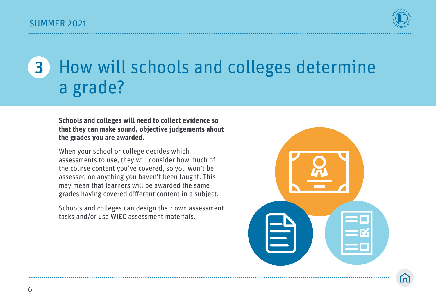

#### How will schools and colleges determine a grade? 3

**Schools and colleges will need to collect evidence so that they can make sound, objective judgements about the grades you are awarded.** 

When your school or college decides which assessments to use, they will consider how much of the course content you've covered, so you won't be assessed on anything you haven't been taught. This may mean that learners will be awarded the same grades having covered different content in a subject.

Schools and colleges can design their own assessment tasks and/or use WJEC assessment materials.

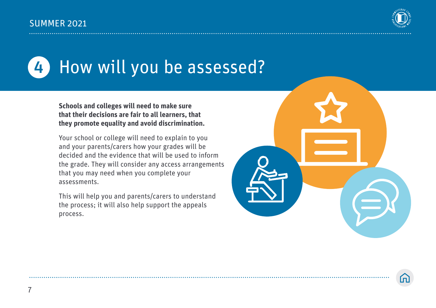

#### How will you be assessed? 4

**Schools and colleges will need to make sure that their decisions are fair to all learners, that they promote equality and avoid discrimination.** 

Your school or college will need to explain to you and your parents/carers how your grades will be decided and the evidence that will be used to inform the grade. They will consider any access arrangements that you may need when you complete your assessments.

This will help you and parents/carers to understand the process; it will also help support the appeals process.

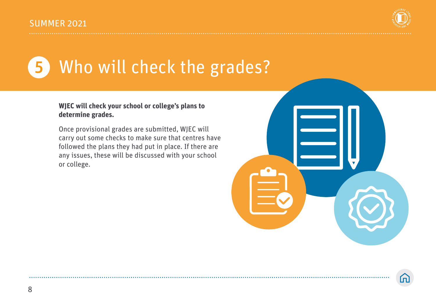

#### Who will check the grades? 5

#### **WJEC will check your school or college's plans to determine grades.**

Once provisional grades are submitted, WJEC will carry out some checks to make sure that centres have followed the plans they had put in place. If there are any issues, these will be discussed with your school or college.

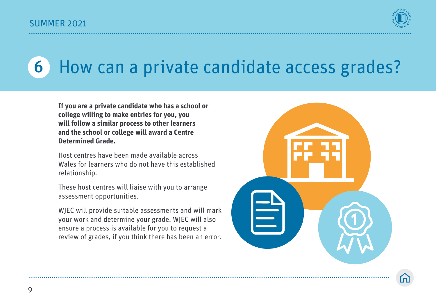

## 6 How can a private candidate access grades?

**If you are a private candidate who has a school or college willing to make entries for you, you will follow a similar process to other learners and the school or college will award a Centre Determined Grade.**

Host centres have been made available across Wales for learners who do not have this established relationship.

These host centres will liaise with you to arrange assessment opportunities.

WJEC will provide suitable assessments and will mark your work and determine your grade. WJEC will also ensure a process is available for you to request a review of grades, if you think there has been an error.

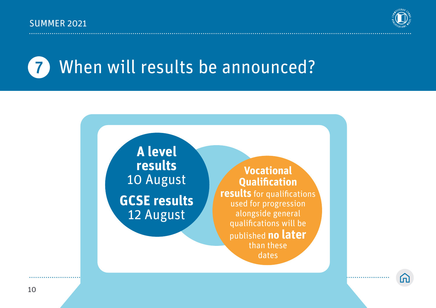

## **7** When will results be announced?



. . . . . . . . . . . . . . . . .

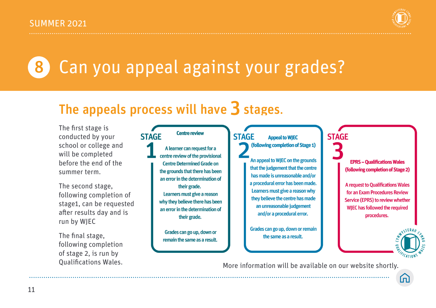

## 8 Can you appeal against your grades?

### The appeals process will have  $3$  stages.

The first stage is conducted by your school or college and will be completed before the end of the summer term.

The second stage, following completion of stage1, can be requested after results day and is run by WJEC

The final stage, following completion of stage 2, is run by

#### **Centre review STAGE**

A learner can request for a centre review of the provisional **Centre Determined Grade on** the grounds that there has been an error in the determination of their grade. Learners must give a reason why they believe there has been an error in the determination of their grade.

Grades can go up, down or remain the same as a result. **STAGE Appeal to WIEC** (following completion of Stage 1)

> An appeal to WJEC on the grounds that the judgement that the centre has made is unreasonable and/or a procedural error has been made. Learners must give a reason why they believe the centre has made an unreasonable judgement and/or a procedural error.

> Grades can go up, down or remain the same as a result.

**EPRS - Qualifications Wales** (following completion of Stage 2)

**STAGE** 

**A request to Qualifications Wales** for an Exam Procedures Review Service (EPRS) to review whether **WJEC has followed the required** procedures.



Qualifications Wales. More information will be available on our website shortly.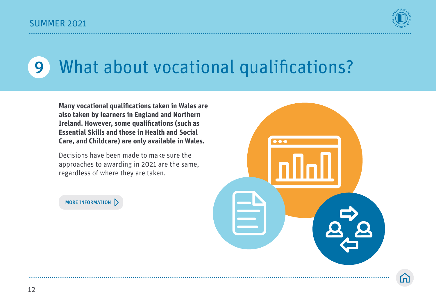

## 9 What about vocational qualifications?

**Many vocational qualifications taken in Wales are also taken by learners in England and Northern Ireland. However, some qualifications (such as Essential Skills and those in Health and Social Care, and Childcare) are only available in Wales.** 

Decisions have been made to make sure the approaches to awarding in 2021 are the same, regardless of where they are taken.



MORE INFORMATION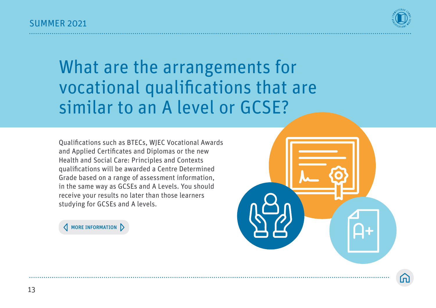

### What are the arrangements for vocational qualifications that are similar to an A level or GCSE?

Qualifications such as BTECs, WJEC Vocational Awards and Applied Certificates and Diplomas or the new Health and Social Care: Principles and Contexts qualifications will be awarded a Centre Determined Grade based on a range of assessment information, in the same way as GCSEs and A Levels. You should receive your results no later than those learners studying for GCSEs and A levels.

**A** MORE INFORMATION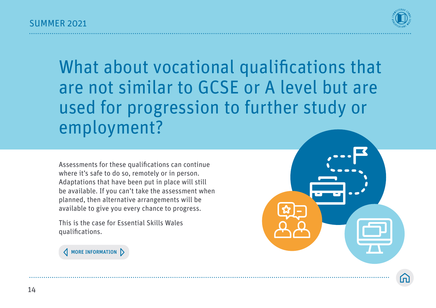

What about vocational qualifications that are not similar to GCSE or A level but are used for progression to further study or employment?

Assessments for these qualifications can continue where it's safe to do so, remotely or in person. Adaptations that have been put in place will still be available. If you can't take the assessment when planned, then alternative arrangements will be available to give you every chance to progress.

This is the case for Essential Skills Wales qualifications.

**A** MORE INFORMATION

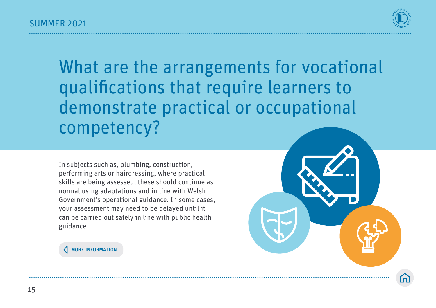

What are the arrangements for vocational qualifications that require learners to demonstrate practical or occupational competency?

In subjects such as, plumbing, construction, performing arts or hairdressing, where practical skills are being assessed, these should continue as normal using adaptations and in line with Welsh Government's operational guidance. In some cases, your assessment may need to be delayed until it can be carried out safely in line with public health guidance.

MORE INFORMATION

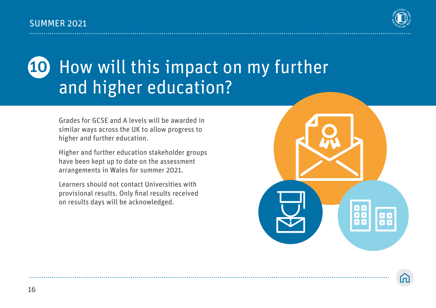

#### How will this impact on my further and higher education? 10

Grades for GCSE and A levels will be awarded in similar ways across the UK to allow progress to higher and further education.

Higher and further education stakeholder groups have been kept up to date on the assessment arrangements in Wales for summer 2021.

Learners should not contact Universities with provisional results. Only final results received on results days will be acknowledged.

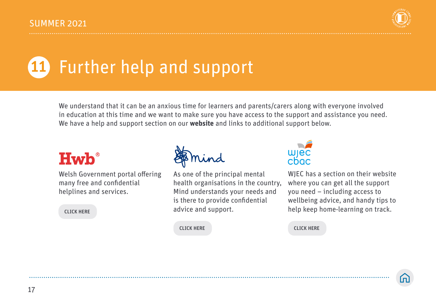

# Further help and support

We understand that it can be an anxious time for learners and parents/carers along with everyone involved in education at this time and we want to make sure you have access to the support and assistance you need. We have a help and support section on our **[website](https://qualificationswales.org/english/awarding-2021/help-and-support/)** and links to additional support below.

### **Hwb**<sup>®</sup>

Welsh Government portal offering many free and confidential helplines and services.

CLICK HERE

As one of the principal mental health organisations in the country, Mind understands your needs and is there to provide confidential advice and support.



WIEC has a section on their website where you can get all the support you need – including access to wellbeing advice, and handy tips to help keep home-learning on track.